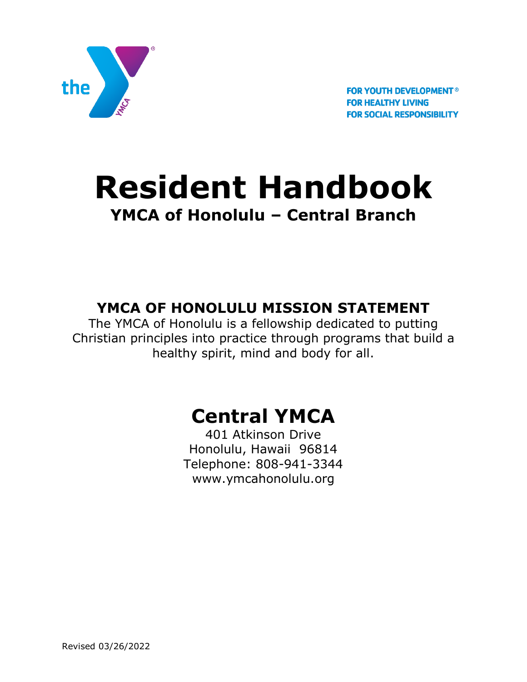

**FOR YOUTH DEVELOPMENT<sup>®</sup> FOR HEALTHY LIVING FOR SOCIAL RESPONSIBILITY** 

# **Resident Handbook YMCA of Honolulu – Central Branch**

## **YMCA OF HONOLULU MISSION STATEMENT**

The YMCA of Honolulu is a fellowship dedicated to putting Christian principles into practice through programs that build a healthy spirit, mind and body for all.

## **Central YMCA**

401 Atkinson Drive Honolulu, Hawaii 96814 Telephone: 808-941-3344 www.ymcahonolulu.org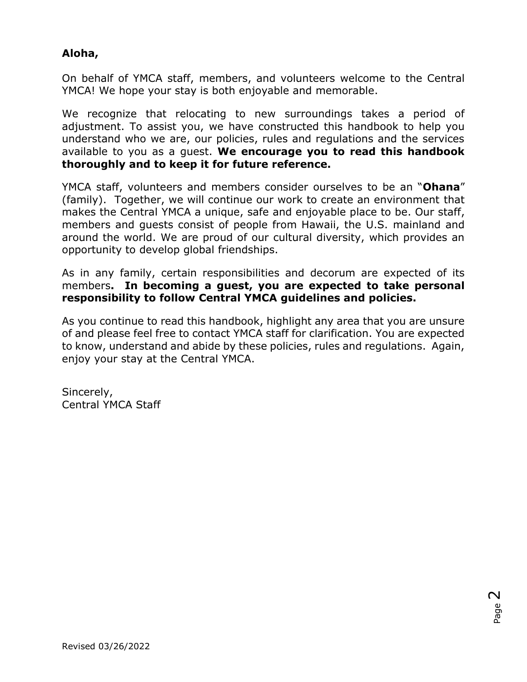### **Aloha,**

On behalf of YMCA staff, members, and volunteers welcome to the Central YMCA! We hope your stay is both enjoyable and memorable.

We recognize that relocating to new surroundings takes a period of adjustment. To assist you, we have constructed this handbook to help you understand who we are, our policies, rules and regulations and the services available to you as a guest. **We encourage you to read this handbook thoroughly and to keep it for future reference.**

YMCA staff, volunteers and members consider ourselves to be an "**Ohana**" (family). Together, we will continue our work to create an environment that makes the Central YMCA a unique, safe and enjoyable place to be. Our staff, members and guests consist of people from Hawaii, the U.S. mainland and around the world. We are proud of our cultural diversity, which provides an opportunity to develop global friendships.

As in any family, certain responsibilities and decorum are expected of its members**. In becoming a guest, you are expected to take personal responsibility to follow Central YMCA guidelines and policies.**

As you continue to read this handbook, highlight any area that you are unsure of and please feel free to contact YMCA staff for clarification. You are expected to know, understand and abide by these policies, rules and regulations. Again, enjoy your stay at the Central YMCA.

Sincerely, Central YMCA Staff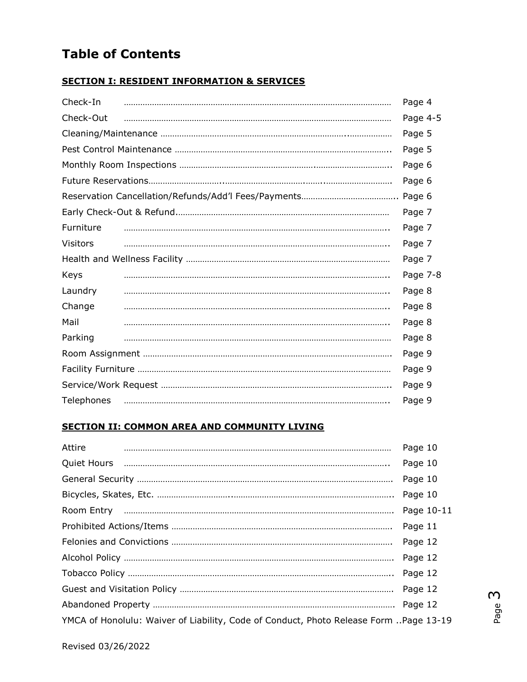## **Table of Contents**

#### **SECTION I: RESIDENT INFORMATION & SERVICES**

| Check-In        |  | Page 4   |
|-----------------|--|----------|
| Check-Out       |  | Page 4-5 |
|                 |  | Page 5   |
|                 |  | Page 5   |
|                 |  | Page 6   |
|                 |  |          |
|                 |  | Page 6   |
|                 |  | Page 7   |
| Furniture       |  | Page 7   |
| <b>Visitors</b> |  | Page 7   |
|                 |  | Page 7   |
| Keys            |  | Page 7-8 |
| Laundry         |  | Page 8   |
| Change          |  | Page 8   |
| Mail            |  | Page 8   |
| Parking         |  | Page 8   |
|                 |  | Page 9   |
|                 |  | Page 9   |
|                 |  | Page 9   |
| Telephones      |  | Page 9   |

#### **SECTION II: COMMON AREA AND COMMUNITY LIVING**

| Attire |                                                                                       | Page 10    |
|--------|---------------------------------------------------------------------------------------|------------|
|        |                                                                                       | Page 10    |
|        |                                                                                       | Page 10    |
|        |                                                                                       | Page 10    |
|        |                                                                                       | Page 10-11 |
|        |                                                                                       | Page 11    |
|        |                                                                                       | Page 12    |
|        |                                                                                       | Page 12    |
|        |                                                                                       |            |
|        |                                                                                       |            |
|        |                                                                                       | Page 12    |
|        | YMCA of Honolulu: Waiver of Liability, Code of Conduct, Photo Release Form Page 13-19 |            |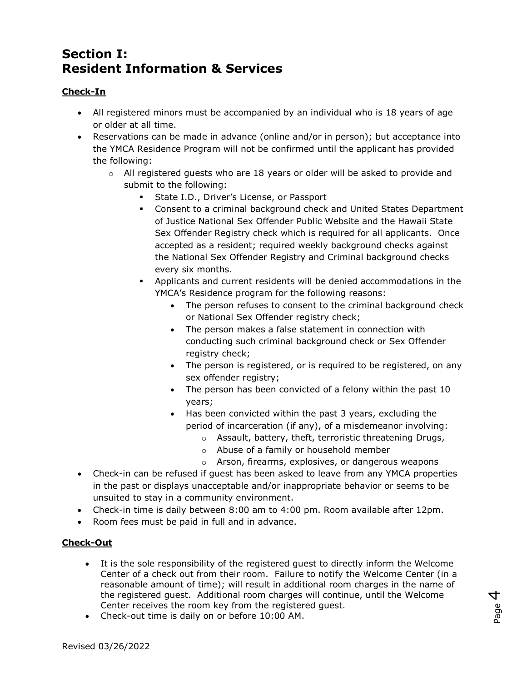## **Section I: Resident Information & Services**

#### **Check-In**

- All registered minors must be accompanied by an individual who is 18 years of age or older at all time.
- Reservations can be made in advance (online and/or in person); but acceptance into the YMCA Residence Program will not be confirmed until the applicant has provided the following:
	- $\circ$  All registered guests who are 18 years or older will be asked to provide and submit to the following:
		- **State I.D., Driver's License, or Passport**
		- Consent to a criminal background check and United States Department of Justice National Sex Offender Public Website and the Hawaii State Sex Offender Registry check which is required for all applicants. Once accepted as a resident; required weekly background checks against the National Sex Offender Registry and Criminal background checks every six months.
		- Applicants and current residents will be denied accommodations in the YMCA's Residence program for the following reasons:
			- The person refuses to consent to the criminal background check or National Sex Offender registry check;
			- The person makes a false statement in connection with conducting such criminal background check or Sex Offender registry check;
			- The person is registered, or is required to be registered, on any sex offender registry;
			- The person has been convicted of a felony within the past 10 years;
			- Has been convicted within the past 3 years, excluding the period of incarceration (if any), of a misdemeanor involving:
				- o Assault, battery, theft, terroristic threatening Drugs,
				- o Abuse of a family or household member
				- o Arson, firearms, explosives, or dangerous weapons
- Check-in can be refused if guest has been asked to leave from any YMCA properties in the past or displays unacceptable and/or inappropriate behavior or seems to be unsuited to stay in a community environment.
- Check-in time is daily between 8:00 am to 4:00 pm. Room available after 12pm.
- Room fees must be paid in full and in advance.

#### **Check-Out**

- It is the sole responsibility of the registered guest to directly inform the Welcome Center of a check out from their room. Failure to notify the Welcome Center (in a reasonable amount of time); will result in additional room charges in the name of the registered guest. Additional room charges will continue, until the Welcome Center receives the room key from the registered guest.
- Check-out time is daily on or before 10:00 AM.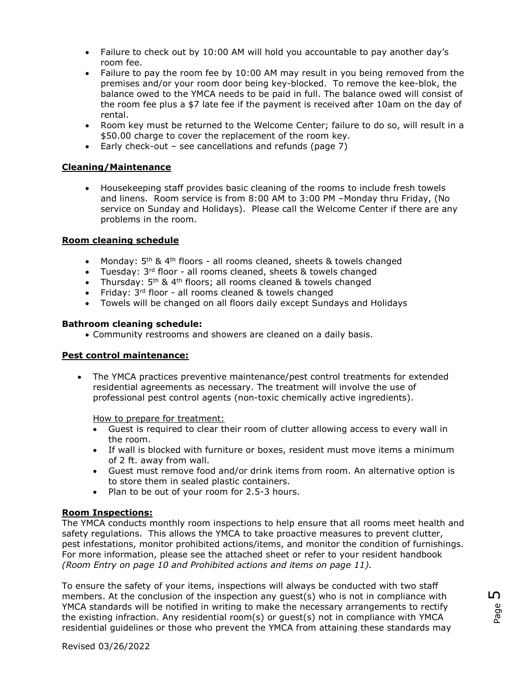- Failure to check out by 10:00 AM will hold you accountable to pay another day's room fee.
- Failure to pay the room fee by 10:00 AM may result in you being removed from the premises and/or your room door being key-blocked. To remove the kee-blok, the balance owed to the YMCA needs to be paid in full. The balance owed will consist of the room fee plus a \$7 late fee if the payment is received after 10am on the day of rental.
- Room key must be returned to the Welcome Center; failure to do so, will result in a \$50.00 charge to cover the replacement of the room key.
- Early check-out see cancellations and refunds (page  $\overline{7}$ )

#### **Cleaning/Maintenance**

 Housekeeping staff provides basic cleaning of the rooms to include fresh towels and linens. Room service is from 8:00 AM to 3:00 PM –Monday thru Friday, (No service on Sunday and Holidays). Please call the Welcome Center if there are any problems in the room.

#### **Room cleaning schedule**

- Monday: 5<sup>th</sup> & 4<sup>th</sup> floors all rooms cleaned, sheets & towels changed
- Tuesday:  $3^{rd}$  floor all rooms cleaned, sheets & towels changed
- Thursday:  $5<sup>th</sup>$  & 4<sup>th</sup> floors; all rooms cleaned & towels changed
- Friday: 3<sup>rd</sup> floor all rooms cleaned & towels changed
- Towels will be changed on all floors daily except Sundays and Holidays

#### **Bathroom cleaning schedule:**

Community restrooms and showers are cleaned on a daily basis.

#### **Pest control maintenance:**

 The YMCA practices preventive maintenance/pest control treatments for extended residential agreements as necessary. The treatment will involve the use of professional pest control agents (non-toxic chemically active ingredients).

How to prepare for treatment:

- Guest is required to clear their room of clutter allowing access to every wall in the room.
- If wall is blocked with furniture or boxes, resident must move items a minimum of 2 ft. away from wall.
- Guest must remove food and/or drink items from room. An alternative option is to store them in sealed plastic containers.
- Plan to be out of your room for 2.5-3 hours.

#### **Room Inspections:**

The YMCA conducts monthly room inspections to help ensure that all rooms meet health and safety regulations. This allows the YMCA to take proactive measures to prevent clutter, pest infestations, monitor prohibited actions/items, and monitor the condition of furnishings. For more information, please see the attached sheet or refer to your resident handbook *(Room Entry on page 10 and Prohibited actions and items on page 11).*

To ensure the safety of your items, inspections will always be conducted with two staff members. At the conclusion of the inspection any guest(s) who is not in compliance with YMCA standards will be notified in writing to make the necessary arrangements to rectify the existing infraction. Any residential room(s) or guest(s) not in compliance with YMCA residential guidelines or those who prevent the YMCA from attaining these standards may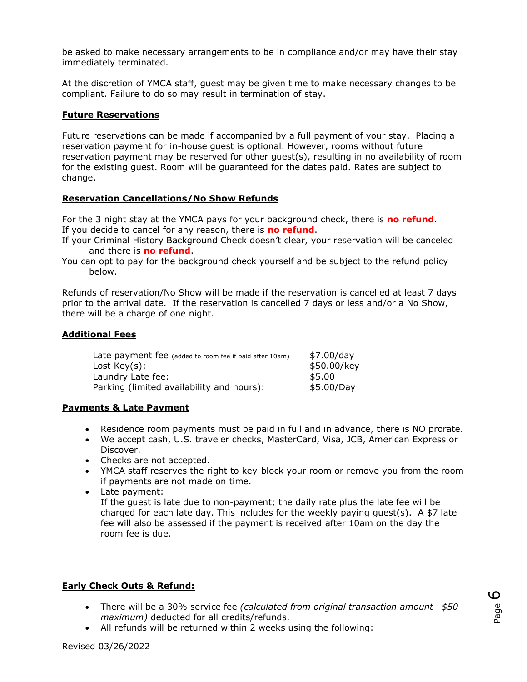be asked to make necessary arrangements to be in compliance and/or may have their stay immediately terminated.

At the discretion of YMCA staff, guest may be given time to make necessary changes to be compliant. Failure to do so may result in termination of stay.

#### **Future Reservations**

Future reservations can be made if accompanied by a full payment of your stay. Placing a reservation payment for in-house guest is optional. However, rooms without future reservation payment may be reserved for other guest(s), resulting in no availability of room for the existing guest. Room will be guaranteed for the dates paid. Rates are subject to change.

#### **Reservation Cancellations/No Show Refunds**

For the 3 night stay at the YMCA pays for your background check, there is **no refund**. If you decide to cancel for any reason, there is **no refund**.

- If your Criminal History Background Check doesn't clear, your reservation will be canceled and there is **no refund**.
- You can opt to pay for the background check yourself and be subject to the refund policy below.

Refunds of reservation/No Show will be made if the reservation is cancelled at least 7 days prior to the arrival date. If the reservation is cancelled 7 days or less and/or a No Show, there will be a charge of one night.

#### **Additional Fees**

| Late payment fee (added to room fee if paid after 10am) | \$7.00/day  |
|---------------------------------------------------------|-------------|
| Lost $Key(s)$ :                                         | \$50.00/key |
| Laundry Late fee:                                       | \$5.00      |
| Parking (limited availability and hours):               | \$5.00/Day  |

#### **Payments & Late Payment**

- Residence room payments must be paid in full and in advance, there is NO prorate.
- We accept cash, U.S. traveler checks, MasterCard, Visa, JCB, American Express or Discover.
- Checks are not accepted.
- YMCA staff reserves the right to key-block your room or remove you from the room if payments are not made on time.
- Late payment:

If the guest is late due to non-payment; the daily rate plus the late fee will be charged for each late day. This includes for the weekly paying guest(s). A  $$7$  late fee will also be assessed if the payment is received after 10am on the day the room fee is due.

#### **Early Check Outs & Refund:**

- There will be a 30% service fee *(calculated from original transaction amount—\$50 maximum)* deducted for all credits/refunds.
- All refunds will be returned within 2 weeks using the following: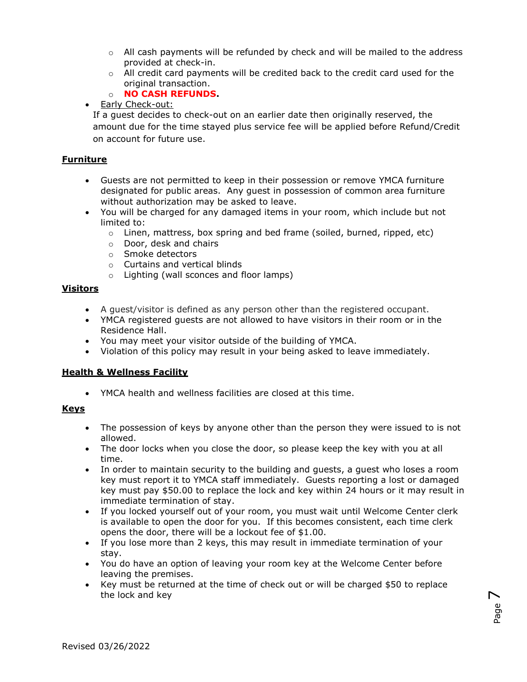- $\circ$  All cash payments will be refunded by check and will be mailed to the address provided at check-in.
- $\circ$  All credit card payments will be credited back to the credit card used for the original transaction.
- o **NO CASH REFUNDS.**
- Early Check-out:

If a guest decides to check-out on an earlier date then originally reserved, the amount due for the time stayed plus service fee will be applied before Refund/Credit on account for future use.

#### **Furniture**

- Guests are not permitted to keep in their possession or remove YMCA furniture designated for public areas. Any guest in possession of common area furniture without authorization may be asked to leave.
- You will be charged for any damaged items in your room, which include but not limited to:
	- $\circ$  Linen, mattress, box spring and bed frame (soiled, burned, ripped, etc)
	- o Door, desk and chairs
	- o Smoke detectors
	- o Curtains and vertical blinds
	- o Lighting (wall sconces and floor lamps)

#### **Visitors**

- A guest/visitor is defined as any person other than the registered occupant.
- YMCA registered guests are not allowed to have visitors in their room or in the Residence Hall.
- You may meet your visitor outside of the building of YMCA.
- Violation of this policy may result in your being asked to leave immediately.

#### **Health & Wellness Facility**

YMCA health and wellness facilities are closed at this time.

#### **Keys**

- The possession of keys by anyone other than the person they were issued to is not allowed.
- The door locks when you close the door, so please keep the key with you at all time.
- In order to maintain security to the building and guests, a guest who loses a room key must report it to YMCA staff immediately. Guests reporting a lost or damaged key must pay \$50.00 to replace the lock and key within 24 hours or it may result in immediate termination of stay.
- If you locked yourself out of your room, you must wait until Welcome Center clerk is available to open the door for you. If this becomes consistent, each time clerk opens the door, there will be a lockout fee of \$1.00.
- If you lose more than 2 keys, this may result in immediate termination of your stay.
- You do have an option of leaving your room key at the Welcome Center before leaving the premises.
- Key must be returned at the time of check out or will be charged \$50 to replace the lock and key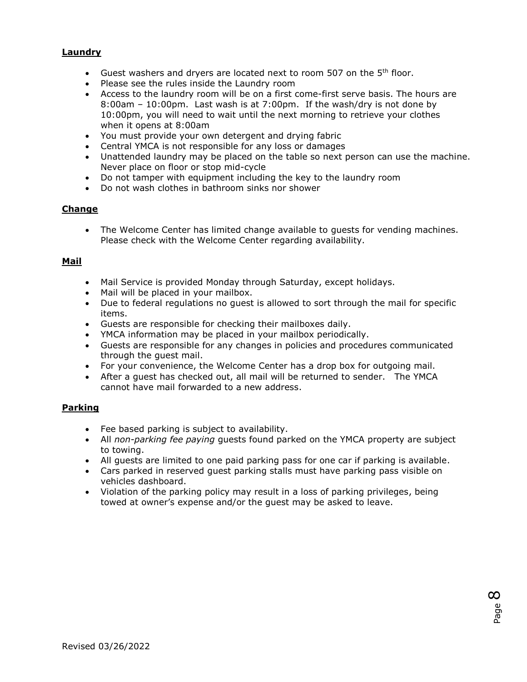#### **Laundry**

- Guest washers and dryers are located next to room 507 on the 5<sup>th</sup> floor.
- Please see the rules inside the Laundry room
- Access to the laundry room will be on a first come-first serve basis. The hours are 8:00am – 10:00pm. Last wash is at 7:00pm. If the wash/dry is not done by 10:00pm, you will need to wait until the next morning to retrieve your clothes when it opens at 8:00am
- You must provide your own detergent and drying fabric
- Central YMCA is not responsible for any loss or damages
- Unattended laundry may be placed on the table so next person can use the machine. Never place on floor or stop mid-cycle
- Do not tamper with equipment including the key to the laundry room
- Do not wash clothes in bathroom sinks nor shower

#### **Change**

 The Welcome Center has limited change available to guests for vending machines. Please check with the Welcome Center regarding availability.

#### **Mail**

- Mail Service is provided Monday through Saturday, except holidays.
- Mail will be placed in your mailbox.
- Due to federal regulations no guest is allowed to sort through the mail for specific items.
- Guests are responsible for checking their mailboxes daily.
- YMCA information may be placed in your mailbox periodically.
- Guests are responsible for any changes in policies and procedures communicated through the guest mail.
- For your convenience, the Welcome Center has a drop box for outgoing mail.
- After a guest has checked out, all mail will be returned to sender. The YMCA cannot have mail forwarded to a new address.

#### **Parking**

- Fee based parking is subject to availability.
- All *non-parking fee paying* guests found parked on the YMCA property are subject to towing.
- All guests are limited to one paid parking pass for one car if parking is available.
- Cars parked in reserved guest parking stalls must have parking pass visible on vehicles dashboard.
- Violation of the parking policy may result in a loss of parking privileges, being towed at owner's expense and/or the guest may be asked to leave.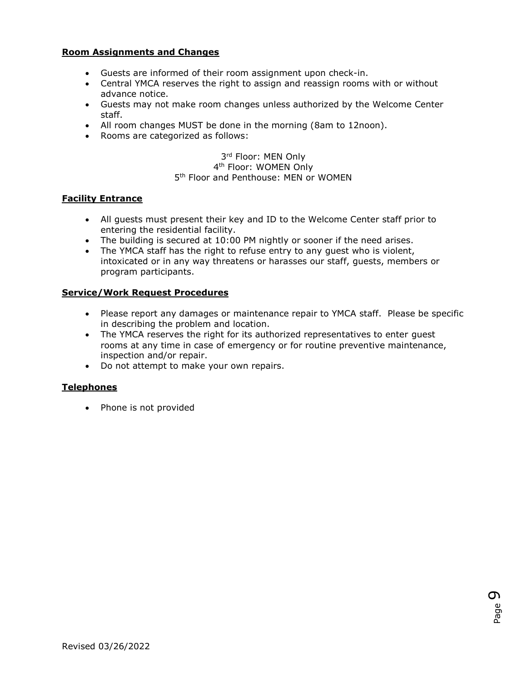#### **Room Assignments and Changes**

- Guests are informed of their room assignment upon check-in.
- Central YMCA reserves the right to assign and reassign rooms with or without advance notice.
- Guests may not make room changes unless authorized by the Welcome Center staff.
- All room changes MUST be done in the morning (8am to 12noon).
- Rooms are categorized as follows:

#### 3rd Floor: MEN Only 4<sup>th</sup> Floor: WOMEN Only 5<sup>th</sup> Floor and Penthouse: MEN or WOMEN

#### **Facility Entrance**

- All guests must present their key and ID to the Welcome Center staff prior to entering the residential facility.
- The building is secured at 10:00 PM nightly or sooner if the need arises.
- The YMCA staff has the right to refuse entry to any guest who is violent, intoxicated or in any way threatens or harasses our staff, guests, members or program participants.

#### **Service/Work Request Procedures**

- Please report any damages or maintenance repair to YMCA staff. Please be specific in describing the problem and location.
- The YMCA reserves the right for its authorized representatives to enter guest rooms at any time in case of emergency or for routine preventive maintenance, inspection and/or repair.
- Do not attempt to make your own repairs.

#### **Telephones**

• Phone is not provided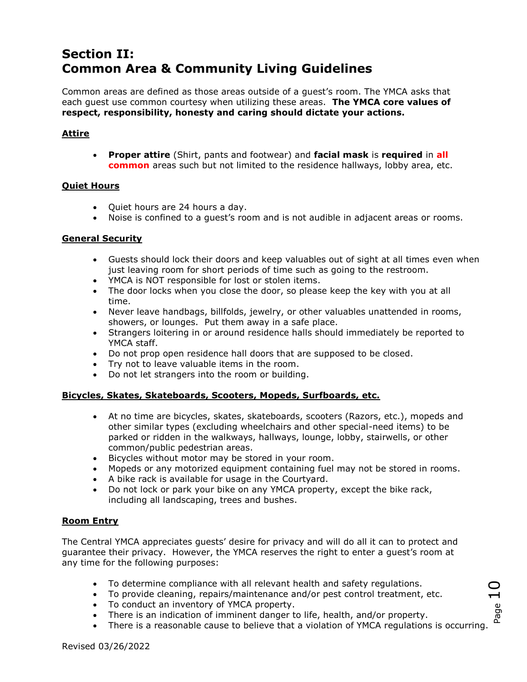## **Section II: Common Area & Community Living Guidelines**

Common areas are defined as those areas outside of a guest's room. The YMCA asks that each guest use common courtesy when utilizing these areas. **The YMCA core values of respect, responsibility, honesty and caring should dictate your actions.**

#### **Attire**

 **Proper attire** (Shirt, pants and footwear) and **facial mask** is **required** in **all common** areas such but not limited to the residence hallways, lobby area, etc.

#### **Quiet Hours**

- Quiet hours are 24 hours a day.
- Noise is confined to a guest's room and is not audible in adjacent areas or rooms.

#### **General Security**

- Guests should lock their doors and keep valuables out of sight at all times even when just leaving room for short periods of time such as going to the restroom.
- YMCA is NOT responsible for lost or stolen items.
- The door locks when you close the door, so please keep the key with you at all time.
- Never leave handbags, billfolds, jewelry, or other valuables unattended in rooms, showers, or lounges. Put them away in a safe place.
- Strangers loitering in or around residence halls should immediately be reported to YMCA staff.
- Do not prop open residence hall doors that are supposed to be closed.
- Try not to leave valuable items in the room.
- Do not let strangers into the room or building.

#### **Bicycles, Skates, Skateboards, Scooters, Mopeds, Surfboards, etc.**

- At no time are bicycles, skates, skateboards, scooters (Razors, etc.), mopeds and other similar types (excluding wheelchairs and other special-need items) to be parked or ridden in the walkways, hallways, lounge, lobby, stairwells, or other common/public pedestrian areas.
- Bicycles without motor may be stored in your room.
- Mopeds or any motorized equipment containing fuel may not be stored in rooms.
- A bike rack is available for usage in the Courtyard.
- Do not lock or park your bike on any YMCA property, except the bike rack, including all landscaping, trees and bushes.

#### **Room Entry**

The Central YMCA appreciates guests' desire for privacy and will do all it can to protect and guarantee their privacy. However, the YMCA reserves the right to enter a guest's room at any time for the following purposes:

- To determine compliance with all relevant health and safety regulations.
- To provide cleaning, repairs/maintenance and/or pest control treatment, etc.
- To conduct an inventory of YMCA property.
- There is an indication of imminent danger to life, health, and/or property.
- There is a reasonable cause to believe that a violation of YMCA regulations is occurring.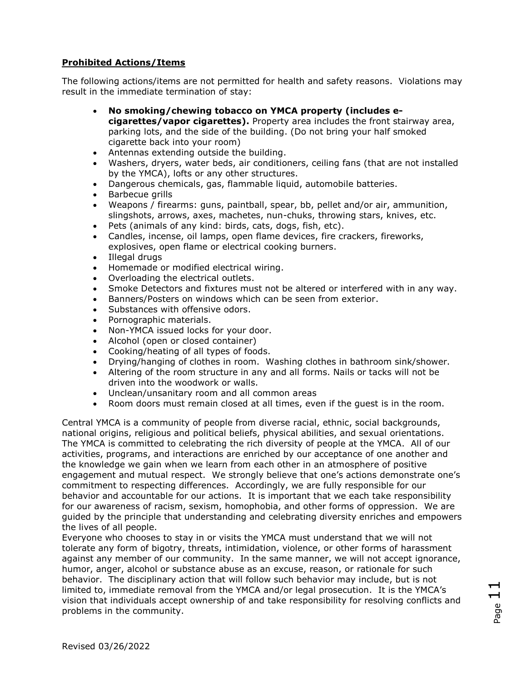#### **Prohibited Actions/Items**

The following actions/items are not permitted for health and safety reasons. Violations may result in the immediate termination of stay:

- **No smoking/chewing tobacco on YMCA property (includes ecigarettes/vapor cigarettes).** Property area includes the front stairway area, parking lots, and the side of the building. (Do not bring your half smoked cigarette back into your room)
- Antennas extending outside the building.
- Washers, dryers, water beds, air conditioners, ceiling fans (that are not installed by the YMCA), lofts or any other structures.
- Dangerous chemicals, gas, flammable liquid, automobile batteries.
- Barbecue grills
- Weapons / firearms: guns, paintball, spear, bb, pellet and/or air, ammunition, slingshots, arrows, axes, machetes, nun-chuks, throwing stars, knives, etc.
- Pets (animals of any kind: birds, cats, dogs, fish, etc).
- Candles, incense, oil lamps, open flame devices, fire crackers, fireworks, explosives, open flame or electrical cooking burners.
- Illegal drugs
- Homemade or modified electrical wiring.
- Overloading the electrical outlets.
- Smoke Detectors and fixtures must not be altered or interfered with in any way.
- Banners/Posters on windows which can be seen from exterior.
- Substances with offensive odors.
- Pornographic materials.
- Non-YMCA issued locks for your door.
- Alcohol (open or closed container)
- Cooking/heating of all types of foods.
- Drying/hanging of clothes in room. Washing clothes in bathroom sink/shower.
- Altering of the room structure in any and all forms. Nails or tacks will not be driven into the woodwork or walls.
- Unclean/unsanitary room and all common areas
- Room doors must remain closed at all times, even if the guest is in the room.

Central YMCA is a community of people from diverse racial, ethnic, social backgrounds, national origins, religious and political beliefs, physical abilities, and sexual orientations. The YMCA is committed to celebrating the rich diversity of people at the YMCA. All of our activities, programs, and interactions are enriched by our acceptance of one another and the knowledge we gain when we learn from each other in an atmosphere of positive engagement and mutual respect. We strongly believe that one's actions demonstrate one's commitment to respecting differences. Accordingly, we are fully responsible for our behavior and accountable for our actions. It is important that we each take responsibility for our awareness of racism, sexism, homophobia, and other forms of oppression. We are guided by the principle that understanding and celebrating diversity enriches and empowers the lives of all people.

Everyone who chooses to stay in or visits the YMCA must understand that we will not tolerate any form of bigotry, threats, intimidation, violence, or other forms of harassment against any member of our community. In the same manner, we will not accept ignorance, humor, anger, alcohol or substance abuse as an excuse, reason, or rationale for such behavior. The disciplinary action that will follow such behavior may include, but is not limited to, immediate removal from the YMCA and/or legal prosecution. It is the YMCA's vision that individuals accept ownership of and take responsibility for resolving conflicts and problems in the community.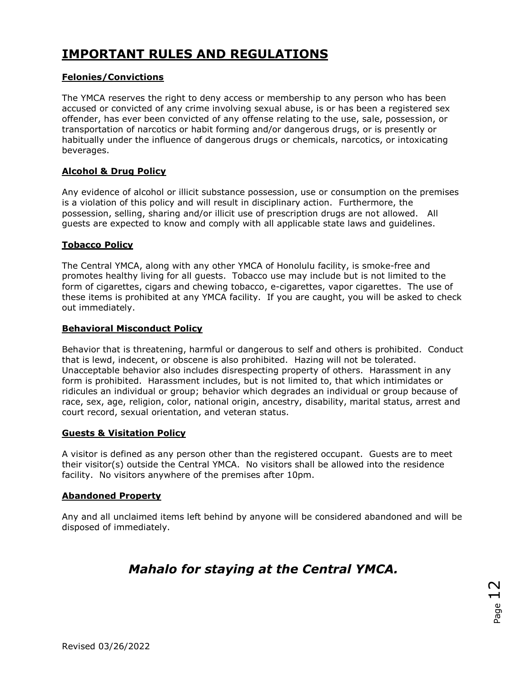## **IMPORTANT RULES AND REGULATIONS**

#### **Felonies/Convictions**

The YMCA reserves the right to deny access or membership to any person who has been accused or convicted of any crime involving sexual abuse, is or has been a registered sex offender, has ever been convicted of any offense relating to the use, sale, possession, or transportation of narcotics or habit forming and/or dangerous drugs, or is presently or habitually under the influence of dangerous drugs or chemicals, narcotics, or intoxicating beverages.

#### **Alcohol & Drug Policy**

Any evidence of alcohol or illicit substance possession, use or consumption on the premises is a violation of this policy and will result in disciplinary action. Furthermore, the possession, selling, sharing and/or illicit use of prescription drugs are not allowed. All guests are expected to know and comply with all applicable state laws and guidelines.

#### **Tobacco Policy**

The Central YMCA, along with any other YMCA of Honolulu facility, is smoke-free and promotes healthy living for all guests. Tobacco use may include but is not limited to the form of cigarettes, cigars and chewing tobacco, e-cigarettes, vapor cigarettes. The use of these items is prohibited at any YMCA facility. If you are caught, you will be asked to check out immediately.

#### **Behavioral Misconduct Policy**

Behavior that is threatening, harmful or dangerous to self and others is prohibited. Conduct that is lewd, indecent, or obscene is also prohibited. Hazing will not be tolerated. Unacceptable behavior also includes disrespecting property of others. Harassment in any form is prohibited. Harassment includes, but is not limited to, that which intimidates or ridicules an individual or group; behavior which degrades an individual or group because of race, sex, age, religion, color, national origin, ancestry, disability, marital status, arrest and court record, sexual orientation, and veteran status.

#### **Guests & Visitation Policy**

A visitor is defined as any person other than the registered occupant. Guests are to meet their visitor(s) outside the Central YMCA. No visitors shall be allowed into the residence facility. No visitors anywhere of the premises after 10pm.

#### **Abandoned Property**

Any and all unclaimed items left behind by anyone will be considered abandoned and will be disposed of immediately.

## *Mahalo for staying at the Central YMCA.*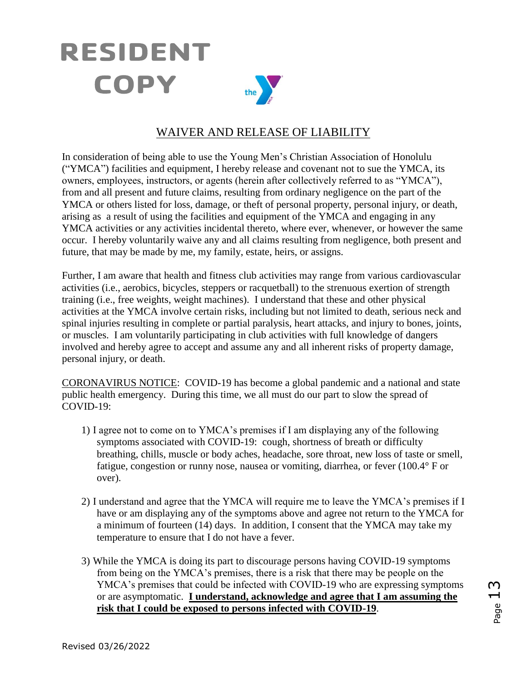## **RESIDENT** COPY the  $\sum$

## WAIVER AND RELEASE OF LIABILITY

In consideration of being able to use the Young Men's Christian Association of Honolulu ("YMCA") facilities and equipment, I hereby release and covenant not to sue the YMCA, its owners, employees, instructors, or agents (herein after collectively referred to as "YMCA"), from and all present and future claims, resulting from ordinary negligence on the part of the YMCA or others listed for loss, damage, or theft of personal property, personal injury, or death, arising as a result of using the facilities and equipment of the YMCA and engaging in any YMCA activities or any activities incidental thereto, where ever, whenever, or however the same occur. I hereby voluntarily waive any and all claims resulting from negligence, both present and future, that may be made by me, my family, estate, heirs, or assigns.

Further, I am aware that health and fitness club activities may range from various cardiovascular activities (i.e., aerobics, bicycles, steppers or racquetball) to the strenuous exertion of strength training (i.e., free weights, weight machines). I understand that these and other physical activities at the YMCA involve certain risks, including but not limited to death, serious neck and spinal injuries resulting in complete or partial paralysis, heart attacks, and injury to bones, joints, or muscles. I am voluntarily participating in club activities with full knowledge of dangers involved and hereby agree to accept and assume any and all inherent risks of property damage, personal injury, or death.

CORONAVIRUS NOTICE: COVID-19 has become a global pandemic and a national and state public health emergency. During this time, we all must do our part to slow the spread of COVID-19:

- 1) I agree not to come on to YMCA's premises if I am displaying any of the following symptoms associated with COVID-19: cough, shortness of breath or difficulty breathing, chills, muscle or body aches, headache, sore throat, new loss of taste or smell, fatigue, congestion or runny nose, nausea or vomiting, diarrhea, or fever (100.4° F or over).
- 2) I understand and agree that the YMCA will require me to leave the YMCA's premises if I have or am displaying any of the symptoms above and agree not return to the YMCA for a minimum of fourteen (14) days. In addition, I consent that the YMCA may take my temperature to ensure that I do not have a fever.
- 3) While the YMCA is doing its part to discourage persons having COVID-19 symptoms from being on the YMCA's premises, there is a risk that there may be people on the YMCA's premises that could be infected with COVID-19 who are expressing symptoms or are asymptomatic. **I understand, acknowledge and agree that I am assuming the risk that I could be exposed to persons infected with COVID-19**.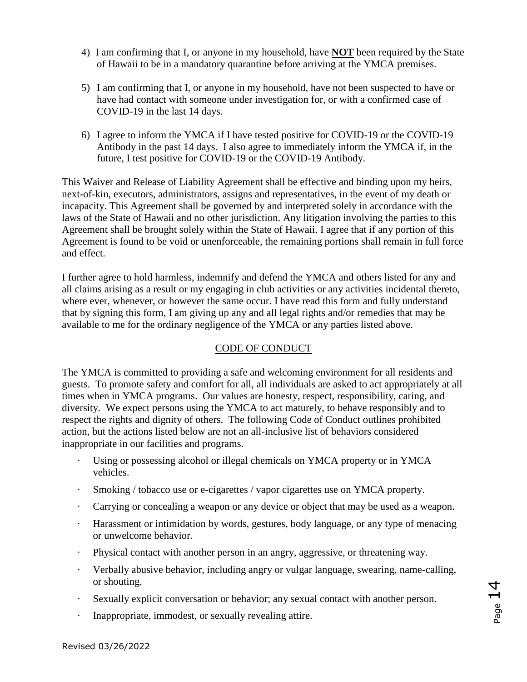- 4) I am confirming that I, or anyone in my household, have **NOT** been required by the State of Hawaii to be in a mandatory quarantine before arriving at the YMCA premises.
- 5) I am confirming that I, or anyone in my household, have not been suspected to have or have had contact with someone under investigation for, or with a confirmed case of COVID-19 in the last 14 days.
- 6) I agree to inform the YMCA if I have tested positive for COVID-19 or the COVID-19 Antibody in the past 14 days. I also agree to immediately inform the YMCA if, in the future, I test positive for COVID-19 or the COVID-19 Antibody.

This Waiver and Release of Liability Agreement shall be effective and binding upon my heirs, next-of-kin, executors, administrators, assigns and representatives, in the event of my death or incapacity. This Agreement shall be governed by and interpreted solely in accordance with the laws of the State of Hawaii and no other jurisdiction. Any litigation involving the parties to this Agreement shall be brought solely within the State of Hawaii. I agree that if any portion of this Agreement is found to be void or unenforceable, the remaining portions shall remain in full force and effect.

I further agree to hold harmless, indemnify and defend the YMCA and others listed for any and all claims arising as a result or my engaging in club activities or any activities incidental thereto, where ever, whenever, or however the same occur. I have read this form and fully understand that by signing this form, I am giving up any and all legal rights and/or remedies that may be available to me for the ordinary negligence of the YMCA or any parties listed above.

#### CODE OF CONDUCT

The YMCA is committed to providing a safe and welcoming environment for all residents and guests. To promote safety and comfort for all, all individuals are asked to act appropriately at all times when in YMCA programs. Our values are honesty, respect, responsibility, caring, and diversity. We expect persons using the YMCA to act maturely, to behave responsibly and to respect the rights and dignity of others. The following Code of Conduct outlines prohibited action, but the actions listed below are not an all-inclusive list of behaviors considered inappropriate in our facilities and programs.

- Using or possessing alcohol or illegal chemicals on YMCA property or in YMCA vehicles.
- Smoking / tobacco use or e-cigarettes / vapor cigarettes use on YMCA property.
- · Carrying or concealing a weapon or any device or object that may be used as a weapon.
- · Harassment or intimidation by words, gestures, body language, or any type of menacing or unwelcome behavior.
- · Physical contact with another person in an angry, aggressive, or threatening way.
- · Verbally abusive behavior, including angry or vulgar language, swearing, name-calling, or shouting.
- · Sexually explicit conversation or behavior; any sexual contact with another person.
- · Inappropriate, immodest, or sexually revealing attire.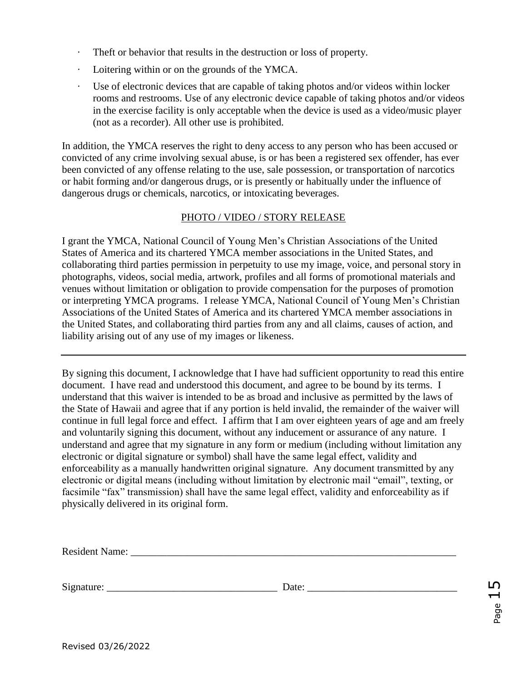- · Theft or behavior that results in the destruction or loss of property.
- · Loitering within or on the grounds of the YMCA.
- · Use of electronic devices that are capable of taking photos and/or videos within locker rooms and restrooms. Use of any electronic device capable of taking photos and/or videos in the exercise facility is only acceptable when the device is used as a video/music player (not as a recorder). All other use is prohibited.

In addition, the YMCA reserves the right to deny access to any person who has been accused or convicted of any crime involving sexual abuse, is or has been a registered sex offender, has ever been convicted of any offense relating to the use, sale possession, or transportation of narcotics or habit forming and/or dangerous drugs, or is presently or habitually under the influence of dangerous drugs or chemicals, narcotics, or intoxicating beverages.

#### PHOTO / VIDEO / STORY RELEASE

I grant the YMCA, National Council of Young Men's Christian Associations of the United States of America and its chartered YMCA member associations in the United States, and collaborating third parties permission in perpetuity to use my image, voice, and personal story in photographs, videos, social media, artwork, profiles and all forms of promotional materials and venues without limitation or obligation to provide compensation for the purposes of promotion or interpreting YMCA programs. I release YMCA, National Council of Young Men's Christian Associations of the United States of America and its chartered YMCA member associations in the United States, and collaborating third parties from any and all claims, causes of action, and liability arising out of any use of my images or likeness.

By signing this document, I acknowledge that I have had sufficient opportunity to read this entire document. I have read and understood this document, and agree to be bound by its terms. I understand that this waiver is intended to be as broad and inclusive as permitted by the laws of the State of Hawaii and agree that if any portion is held invalid, the remainder of the waiver will continue in full legal force and effect. I affirm that I am over eighteen years of age and am freely and voluntarily signing this document, without any inducement or assurance of any nature. I understand and agree that my signature in any form or medium (including without limitation any electronic or digital signature or symbol) shall have the same legal effect, validity and enforceability as a manually handwritten original signature. Any document transmitted by any electronic or digital means (including without limitation by electronic mail "email", texting, or facsimile "fax" transmission) shall have the same legal effect, validity and enforceability as if physically delivered in its original form.

| Resident N<br>vame<br>. |  |  |
|-------------------------|--|--|
|                         |  |  |

Signature: \_\_\_\_\_\_\_\_\_\_\_\_\_\_\_\_\_\_\_\_\_\_\_\_\_\_\_\_\_\_\_\_\_ Date: \_\_\_\_\_\_\_\_\_\_\_\_\_\_\_\_\_\_\_\_\_\_\_\_\_\_\_\_\_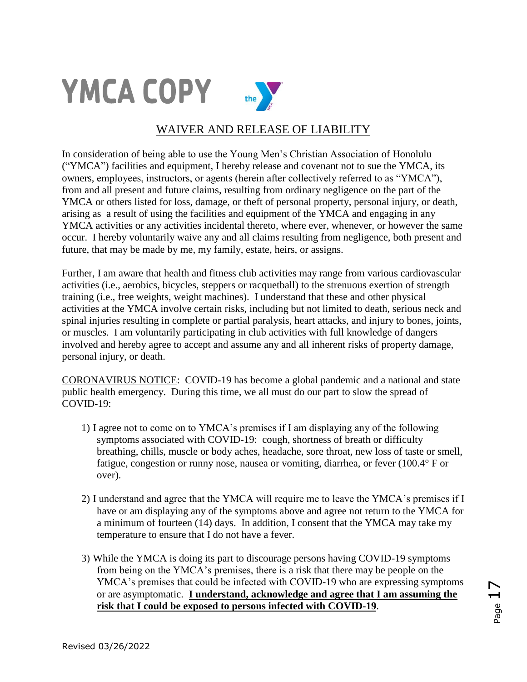

### WAIVER AND RELEASE OF LIABILITY

In consideration of being able to use the Young Men's Christian Association of Honolulu ("YMCA") facilities and equipment, I hereby release and covenant not to sue the YMCA, its owners, employees, instructors, or agents (herein after collectively referred to as "YMCA"), from and all present and future claims, resulting from ordinary negligence on the part of the YMCA or others listed for loss, damage, or theft of personal property, personal injury, or death, arising as a result of using the facilities and equipment of the YMCA and engaging in any YMCA activities or any activities incidental thereto, where ever, whenever, or however the same occur. I hereby voluntarily waive any and all claims resulting from negligence, both present and future, that may be made by me, my family, estate, heirs, or assigns.

Further, I am aware that health and fitness club activities may range from various cardiovascular activities (i.e., aerobics, bicycles, steppers or racquetball) to the strenuous exertion of strength training (i.e., free weights, weight machines). I understand that these and other physical activities at the YMCA involve certain risks, including but not limited to death, serious neck and spinal injuries resulting in complete or partial paralysis, heart attacks, and injury to bones, joints, or muscles. I am voluntarily participating in club activities with full knowledge of dangers involved and hereby agree to accept and assume any and all inherent risks of property damage, personal injury, or death.

CORONAVIRUS NOTICE: COVID-19 has become a global pandemic and a national and state public health emergency. During this time, we all must do our part to slow the spread of COVID-19:

- 1) I agree not to come on to YMCA's premises if I am displaying any of the following symptoms associated with COVID-19: cough, shortness of breath or difficulty breathing, chills, muscle or body aches, headache, sore throat, new loss of taste or smell, fatigue, congestion or runny nose, nausea or vomiting, diarrhea, or fever (100.4° F or over).
- 2) I understand and agree that the YMCA will require me to leave the YMCA's premises if I have or am displaying any of the symptoms above and agree not return to the YMCA for a minimum of fourteen (14) days. In addition, I consent that the YMCA may take my temperature to ensure that I do not have a fever.
- 3) While the YMCA is doing its part to discourage persons having COVID-19 symptoms from being on the YMCA's premises, there is a risk that there may be people on the YMCA's premises that could be infected with COVID-19 who are expressing symptoms or are asymptomatic. **I understand, acknowledge and agree that I am assuming the risk that I could be exposed to persons infected with COVID-19**.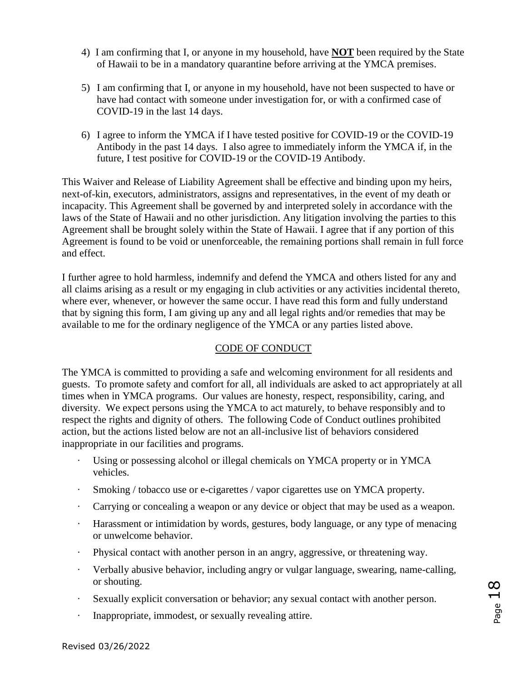- 4) I am confirming that I, or anyone in my household, have **NOT** been required by the State of Hawaii to be in a mandatory quarantine before arriving at the YMCA premises.
- 5) I am confirming that I, or anyone in my household, have not been suspected to have or have had contact with someone under investigation for, or with a confirmed case of COVID-19 in the last 14 days.
- 6) I agree to inform the YMCA if I have tested positive for COVID-19 or the COVID-19 Antibody in the past 14 days. I also agree to immediately inform the YMCA if, in the future, I test positive for COVID-19 or the COVID-19 Antibody.

This Waiver and Release of Liability Agreement shall be effective and binding upon my heirs, next-of-kin, executors, administrators, assigns and representatives, in the event of my death or incapacity. This Agreement shall be governed by and interpreted solely in accordance with the laws of the State of Hawaii and no other jurisdiction. Any litigation involving the parties to this Agreement shall be brought solely within the State of Hawaii. I agree that if any portion of this Agreement is found to be void or unenforceable, the remaining portions shall remain in full force and effect.

I further agree to hold harmless, indemnify and defend the YMCA and others listed for any and all claims arising as a result or my engaging in club activities or any activities incidental thereto, where ever, whenever, or however the same occur. I have read this form and fully understand that by signing this form, I am giving up any and all legal rights and/or remedies that may be available to me for the ordinary negligence of the YMCA or any parties listed above.

#### CODE OF CONDUCT

The YMCA is committed to providing a safe and welcoming environment for all residents and guests. To promote safety and comfort for all, all individuals are asked to act appropriately at all times when in YMCA programs. Our values are honesty, respect, responsibility, caring, and diversity. We expect persons using the YMCA to act maturely, to behave responsibly and to respect the rights and dignity of others. The following Code of Conduct outlines prohibited action, but the actions listed below are not an all-inclusive list of behaviors considered inappropriate in our facilities and programs.

- Using or possessing alcohol or illegal chemicals on YMCA property or in YMCA vehicles.
- Smoking / tobacco use or e-cigarettes / vapor cigarettes use on YMCA property.
- · Carrying or concealing a weapon or any device or object that may be used as a weapon.
- · Harassment or intimidation by words, gestures, body language, or any type of menacing or unwelcome behavior.
- · Physical contact with another person in an angry, aggressive, or threatening way.
- · Verbally abusive behavior, including angry or vulgar language, swearing, name-calling, or shouting.
- · Sexually explicit conversation or behavior; any sexual contact with another person.
- · Inappropriate, immodest, or sexually revealing attire.